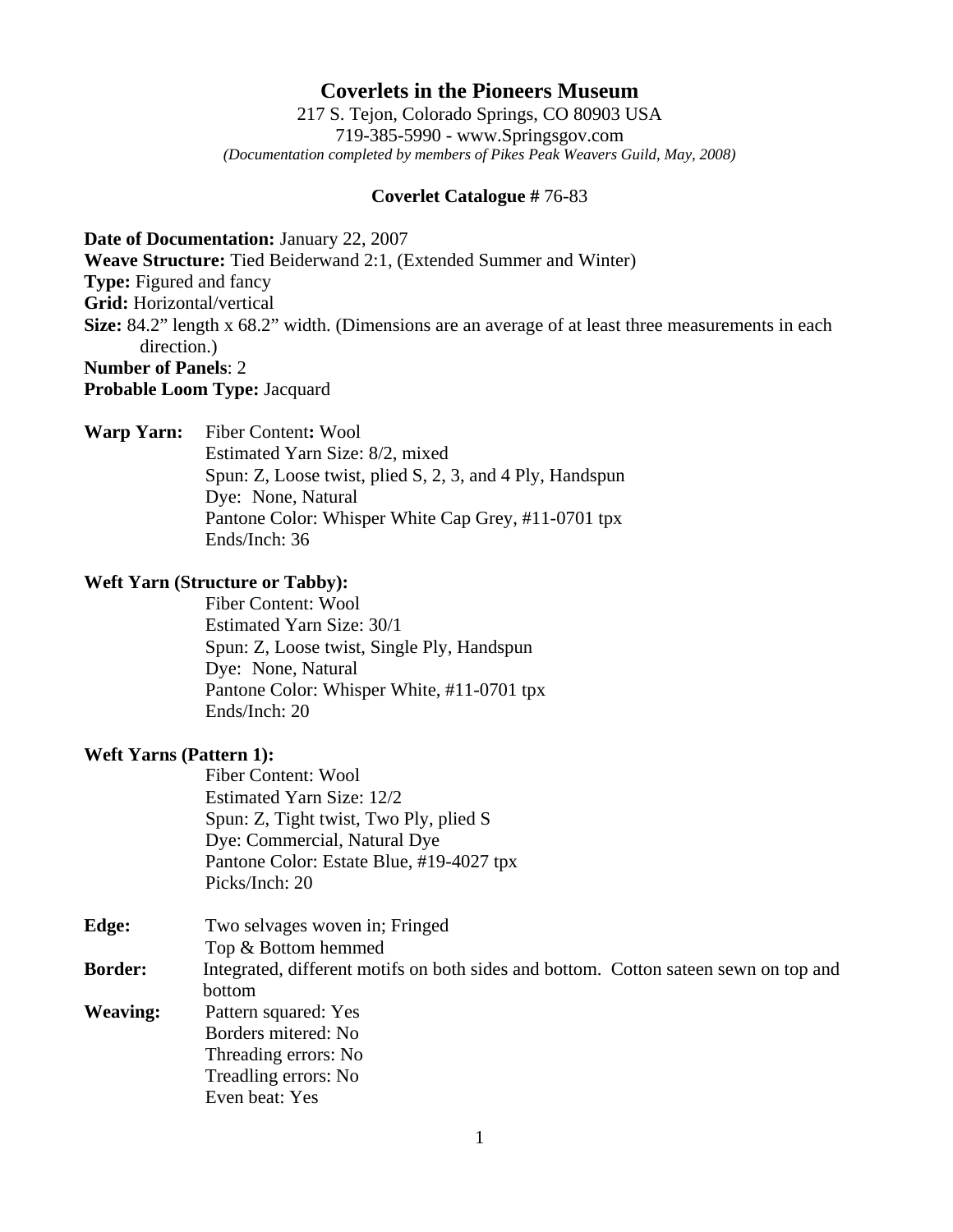# **Coverlets in the Pioneers Museum**

217 S. Tejon, Colorado Springs, CO 80903 USA 719-385-5990 - www.Springsgov.com *(Documentation completed by members of Pikes Peak Weavers Guild, May, 2008)* 

#### **Coverlet Catalogue #** 76-83

**Date of Documentation:** January 22, 2007

**Weave Structure:** Tied Beiderwand 2:1, (Extended Summer and Winter)

**Type:** Figured and fancy

**Grid:** Horizontal/vertical

**Size:** 84.2" length x 68.2" width. (Dimensions are an average of at least three measurements in each direction.)

### **Number of Panels**: 2

**Probable Loom Type:** Jacquard

**Warp Yarn:** Fiber Content**:** Wool

 Estimated Yarn Size: 8/2, mixed Spun: Z, Loose twist, plied S, 2, 3, and 4 Ply, Handspun Dye: None, Natural Pantone Color: Whisper White Cap Grey, #11-0701 tpx Ends/Inch: 36

### **Weft Yarn (Structure or Tabby):**

 Fiber Content: Wool Estimated Yarn Size: 30/1 Spun: Z, Loose twist, Single Ply, Handspun Dye: None, Natural Pantone Color: Whisper White, #11-0701 tpx Ends/Inch: 20

## **Weft Yarns (Pattern 1):**

 Fiber Content: Wool Estimated Yarn Size: 12/2 Spun: Z, Tight twist, Two Ply, plied S Dye: Commercial, Natural Dye Pantone Color: Estate Blue, #19-4027 tpx Picks/Inch: 20

| Edge:           | Two selvages woven in; Fringed                                                        |
|-----------------|---------------------------------------------------------------------------------------|
|                 | Top & Bottom hemmed                                                                   |
| <b>Border:</b>  | Integrated, different motifs on both sides and bottom. Cotton sate is sewn on top and |
|                 | bottom                                                                                |
| <b>Weaving:</b> | Pattern squared: Yes                                                                  |
|                 | Borders mitered: No                                                                   |
|                 | Threading errors: No                                                                  |
|                 | Treadling errors: No                                                                  |
|                 | Even beat: Yes                                                                        |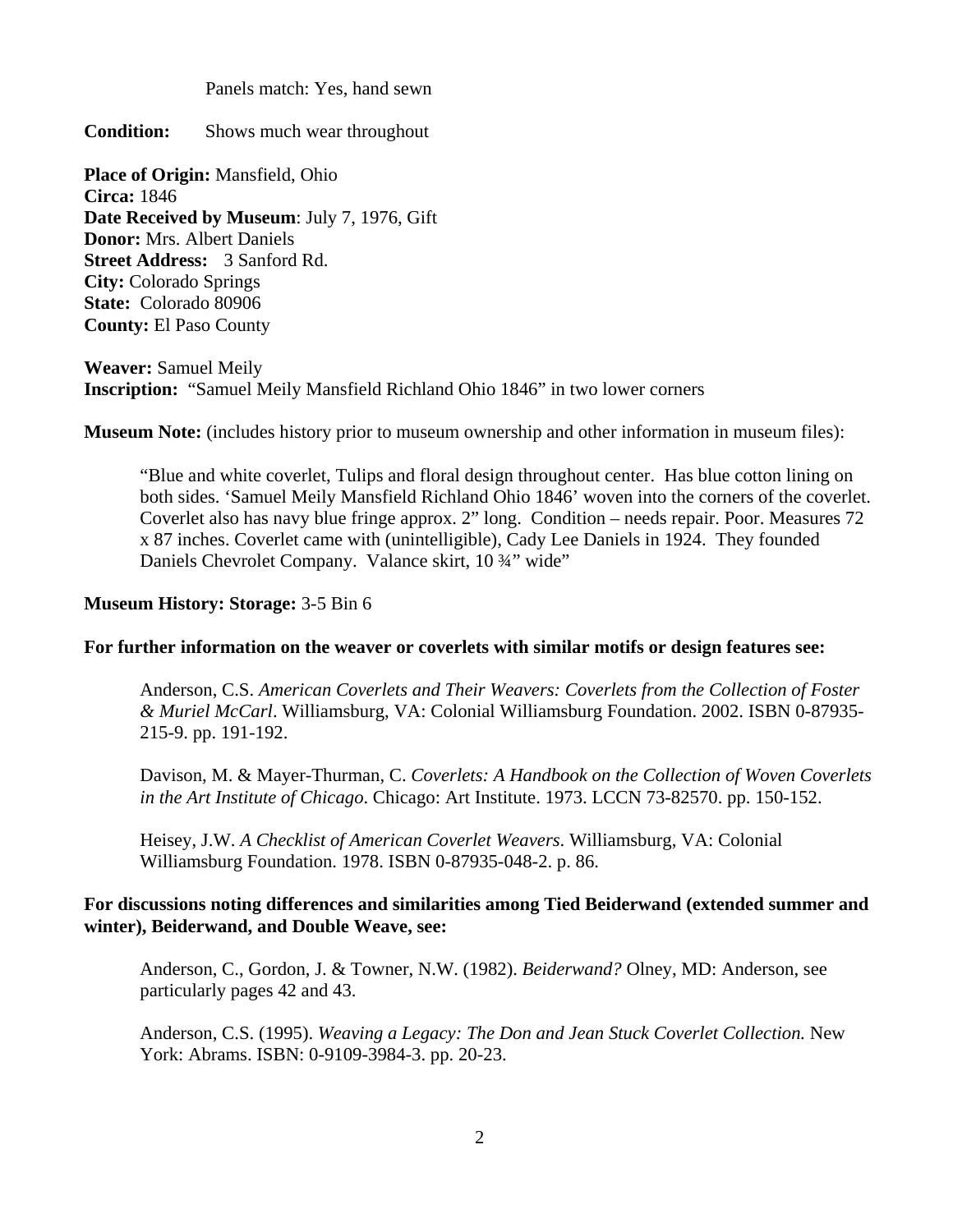Panels match: Yes, hand sewn

**Condition:** Shows much wear throughout

**Place of Origin:** Mansfield, Ohio **Circa:** 1846 **Date Received by Museum: July 7, 1976, Gift Donor:** Mrs. Albert Daniels **Street Address:** 3 Sanford Rd. **City:** Colorado Springs **State:** Colorado 80906 **County:** El Paso County

**Weaver:** Samuel Meily **Inscription:** "Samuel Meily Mansfield Richland Ohio 1846" in two lower corners

**Museum Note:** (includes history prior to museum ownership and other information in museum files):

 "Blue and white coverlet, Tulips and floral design throughout center. Has blue cotton lining on both sides. 'Samuel Meily Mansfield Richland Ohio 1846' woven into the corners of the coverlet. Coverlet also has navy blue fringe approx. 2" long. Condition – needs repair. Poor. Measures 72 x 87 inches. Coverlet came with (unintelligible), Cady Lee Daniels in 1924. They founded Daniels Chevrolet Company. Valance skirt, 10  $\frac{3}{4}$ " wide"

### **Museum History: Storage:** 3-5 Bin 6

### **For further information on the weaver or coverlets with similar motifs or design features see:**

 Anderson, C.S. *American Coverlets and Their Weavers: Coverlets from the Collection of Foster & Muriel McCarl*. Williamsburg, VA: Colonial Williamsburg Foundation. 2002. ISBN 0-87935- 215-9. pp. 191-192.

 Davison, M. & Mayer-Thurman, C. *Coverlets: A Handbook on the Collection of Woven Coverlets in the Art Institute of Chicago*. Chicago: Art Institute. 1973. LCCN 73-82570. pp. 150-152.

 Heisey, J.W. *A Checklist of American Coverlet Weavers*. Williamsburg, VA: Colonial Williamsburg Foundation. 1978. ISBN 0-87935-048-2. p. 86.

## **For discussions noting differences and similarities among Tied Beiderwand (extended summer and winter), Beiderwand, and Double Weave, see:**

 Anderson, C., Gordon, J. & Towner, N.W. (1982). *Beiderwand?* Olney, MD: Anderson, see particularly pages 42 and 43.

 Anderson, C.S. (1995). *Weaving a Legacy: The Don and Jean Stuck Coverlet Collection.* New York: Abrams. ISBN: 0-9109-3984-3. pp. 20-23.